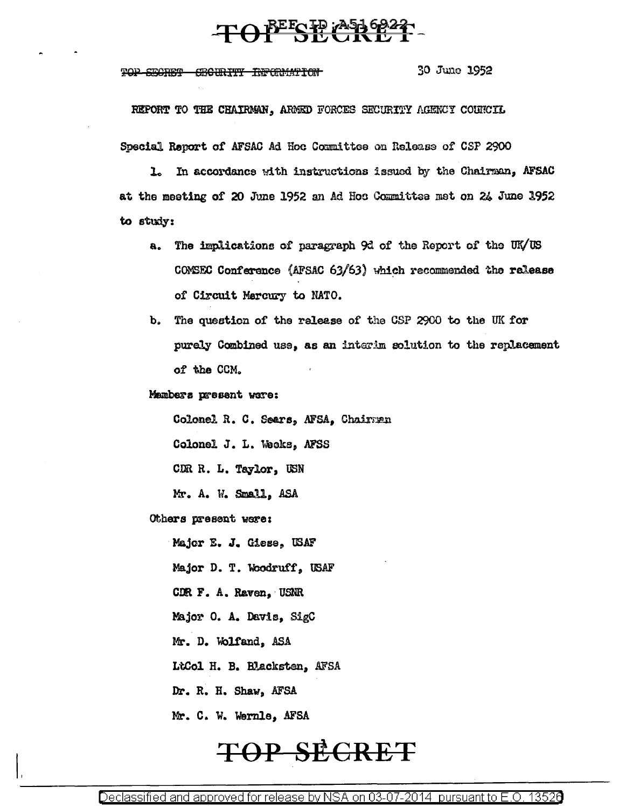### TOPESE PASSERS

TOP SECRET SECURITY INFORMATION

30 June 1952

REPORT TO THE CHAIRMAN, ARMED FORCES SECURITY AGENCY COUNCIL

Special Report of AFSAC Ad Hoc Committee on Release of CSP 2900

ı. In accordance with instructions issued by the Chairman, AFSAC at the meeting of 20 June 1952 an Ad Hoc Committee met on 24 June 1952 to study:

- The implications of paragraph 9d of the Report of the UK/US  $\ddot{\mathbf{a}}$ COMSEC Conference (AFSAC 63/63) which recommended the release of Circuit Mercury to NATO.
- The question of the release of the CSP 2900 to the UK for  $\mathbf{b}$ purely Combined use, as an interim solution to the replacement of the CCM.

Mambers present were:

Colonel R. C. Sears, AFSA, Chairman

Colonel J. L. Weeks, AFSS

CDR R. L. Taylor, USN

Mr. A. W. Small, ASA

Others present were:

Major E. J. Giese, USAF

Major D. T. Woodruff, USAF

CDR F. A. Raven, USNR

Major O. A. Davis, SigC

Mr. D. Wolfand, ASA

LtCol H. B. Blacksten, AFSA

Dr. R. H. Shaw, AFSA

Mr. C. W. Wernle, AFSA

# **TOP SECRET**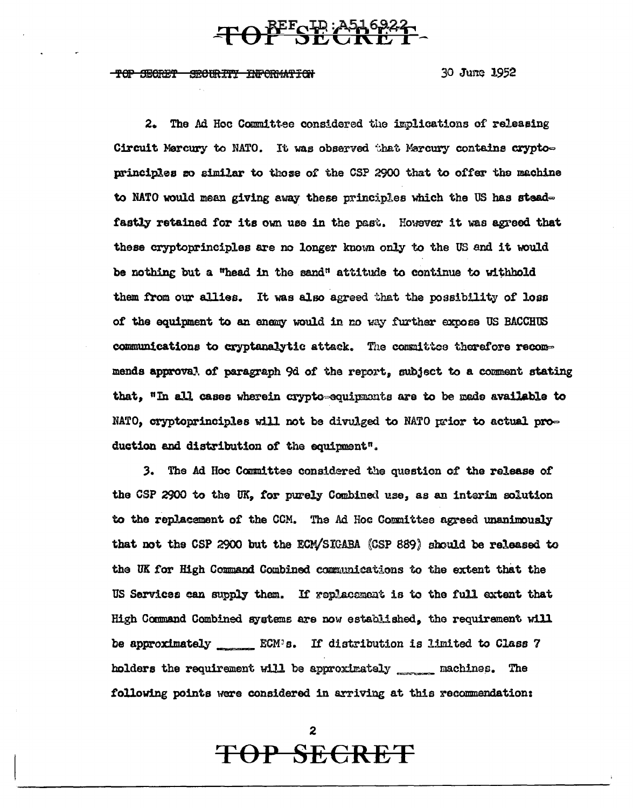## TOP SE A516922

<del>TOP SEGRET</del> SECURITY INFORMATION 30 June 1952

2. The Ad Hoc Committee considered the implications of releasing Circuit Marcury to NATO. It was observed that Marcury contains cryptoprinciples so similar to those of the CSP 2900 that to offer the machine to NATO would mean giving away these principles which the US has steadfastly retained for its own use in the past. However it was agreed that these cryptoprinciples are no longer known only to the US and it would be nothing but a "head in the sand" attitude to continue to withhold them from our allies. It was also agreed that the possibility of loss of the equipment to an enemy would in no way further expose US BACCHUS communications to cryptanalytic attack. The committee therefore recommends approval of paragraph 9d of the report, subject to a comment stating that, "In all cases wherein crypto-equipments are to be made available to NATO, cryptoprinciples will not be divulged to NATO prior to actual production and distribution of the equipment".

3. The Ad Hoc Committee considered the question of the release of the CSP 2900 to the UK, for purely Combined use, as an interim solution to the replacement of the CCM. The Ad Hoc Committee agreed unanimously that not the CSP 2900 but the ECM/SIGABA (CSP 889) should be released to the UK for High Command Combined communications to the extent that the US Services can supply them. If replacement is to the full extent that High Command Combined systems are now established, the requirement will holders the requirement will be approximately \_\_\_\_\_\_ machines. The following points were considered in arriving at this recommendation:

**TOP SECRET**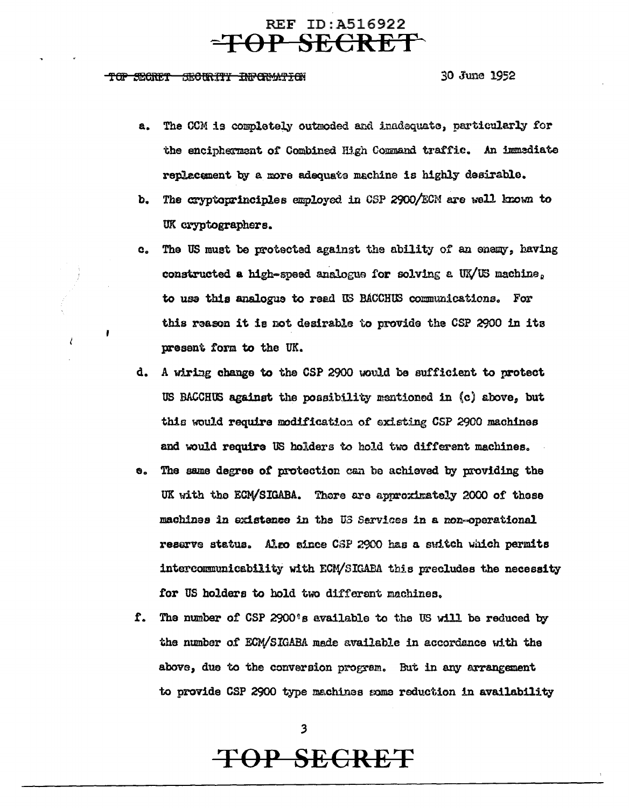#### REF ID:A516922 **-TOP SECRET-'**

#### TOP SEGRET SECURITY INPORMATION

30 June 1952

- a. The CCM is completely outmoded and inadequate, particularly for the enciphermant of Combined High Command traffic. An immediate replacement by a more adequate machine is highly desirable.
- b. The cryptoprinciples employed in CSP 2900/ECM are well known to UK cryptographers.
- c. The US muet be protected against the ability of an anenv, having constructed a high-speed analogue for solving *e.* UX/US machina <sup>0</sup> to use this analogue to read US BACCHUS communications. For this reason it is not desirable to provide the CSP 2900 in its present form to the UK.
- d. A wiring change to the CSP 2900 would be sufficient to protect US BACCHUS against the possibility mentioned in  $(c)$  above, but this ww.d require modification of existing CSP 2900 machines and would require US holders to hold two different machines.
- e. The same degree of protection can be achieved by providing the UK with the ECM/SIGABA. There are approximately 2000 of these machines in existence in the U3 Services in a non-operational reserve status. Aleo since CSP 2900 baa a suitch which permits intercommunicability with ECM/SIGABA this precludes the necessity for US holders to hold two different machines.
- f. The number of CSP 2900's available to the US will be reduced by the number of ECM/SIGABA made available in accordance with the above, due to the conversion program. But in any arrangement to provide CSP 2900 type machines some reduction in availability

3

# **TOP SECRET**